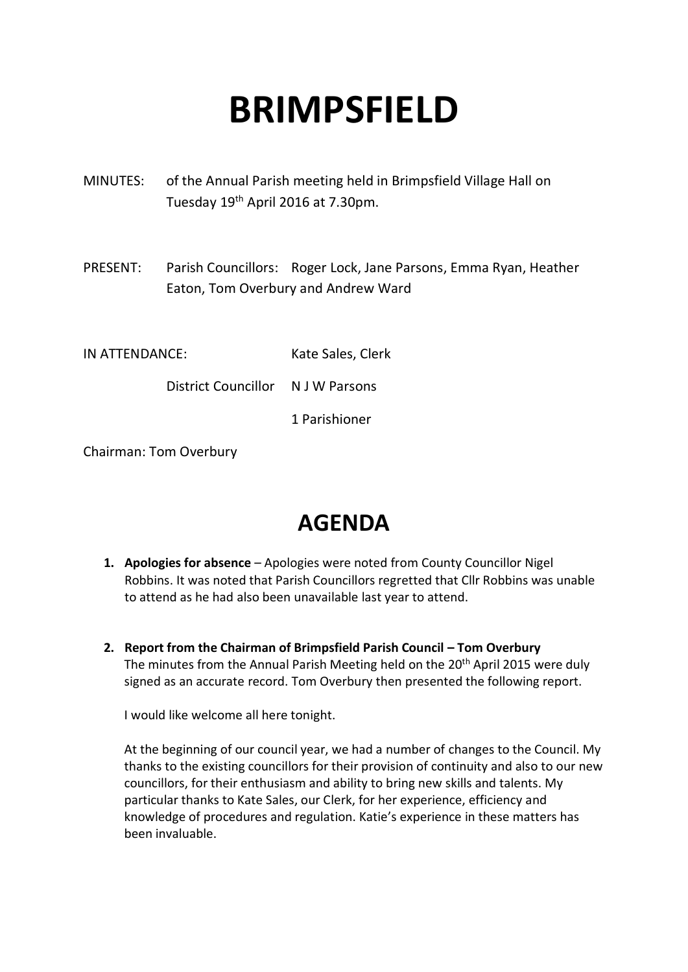# **BRIMPSFIELD**

- MINUTES: of the Annual Parish meeting held in Brimpsfield Village Hall on Tuesday 19th April 2016 at 7.30pm.
- PRESENT: Parish Councillors: Roger Lock, Jane Parsons, Emma Ryan, Heather Eaton, Tom Overbury and Andrew Ward
- IN ATTENDANCE: Kate Sales, Clerk

District Councillor N J W Parsons

1 Parishioner

Chairman: Tom Overbury

## **AGENDA**

- **1. Apologies for absence** Apologies were noted from County Councillor Nigel Robbins. It was noted that Parish Councillors regretted that Cllr Robbins was unable to attend as he had also been unavailable last year to attend.
- **2. Report from the Chairman of Brimpsfield Parish Council – Tom Overbury** The minutes from the Annual Parish Meeting held on the 20<sup>th</sup> April 2015 were duly signed as an accurate record. Tom Overbury then presented the following report.

I would like welcome all here tonight.

At the beginning of our council year, we had a number of changes to the Council. My thanks to the existing councillors for their provision of continuity and also to our new councillors, for their enthusiasm and ability to bring new skills and talents. My particular thanks to Kate Sales, our Clerk, for her experience, efficiency and knowledge of procedures and regulation. Katie's experience in these matters has been invaluable.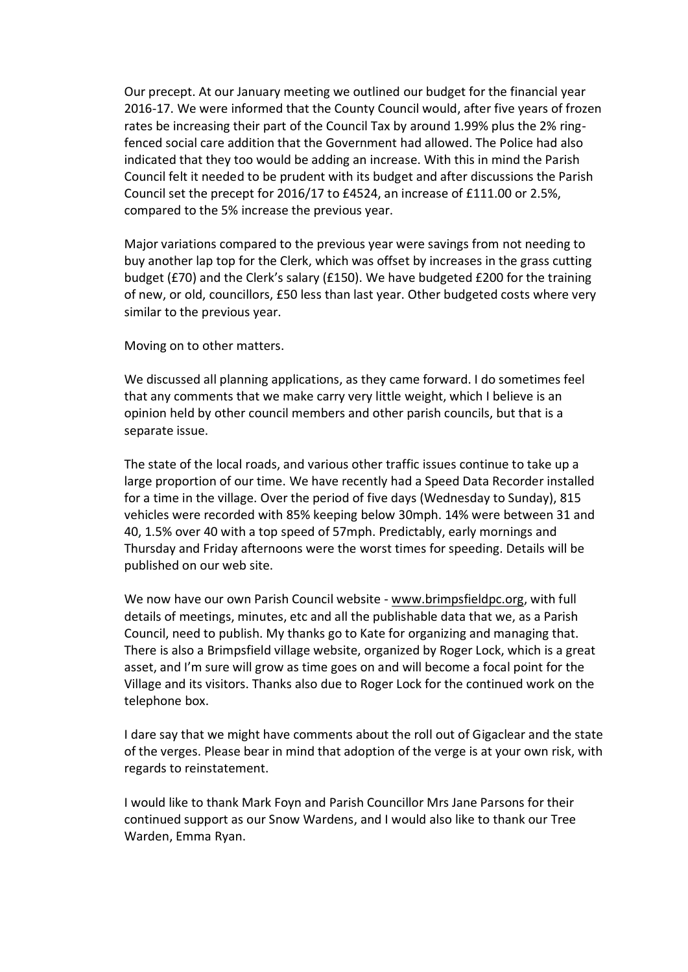Our precept. At our January meeting we outlined our budget for the financial year 2016-17. We were informed that the County Council would, after five years of frozen rates be increasing their part of the Council Tax by around 1.99% plus the 2% ringfenced social care addition that the Government had allowed. The Police had also indicated that they too would be adding an increase. With this in mind the Parish Council felt it needed to be prudent with its budget and after discussions the Parish Council set the precept for 2016/17 to £4524, an increase of £111.00 or 2.5%, compared to the 5% increase the previous year.

Major variations compared to the previous year were savings from not needing to buy another lap top for the Clerk, which was offset by increases in the grass cutting budget (£70) and the Clerk's salary (£150). We have budgeted £200 for the training of new, or old, councillors, £50 less than last year. Other budgeted costs where very similar to the previous year.

Moving on to other matters.

We discussed all planning applications, as they came forward. I do sometimes feel that any comments that we make carry very little weight, which I believe is an opinion held by other council members and other parish councils, but that is a separate issue.

The state of the local roads, and various other traffic issues continue to take up a large proportion of our time. We have recently had a Speed Data Recorder installed for a time in the village. Over the period of five days (Wednesday to Sunday), 815 vehicles were recorded with 85% keeping below 30mph. 14% were between 31 and 40, 1.5% over 40 with a top speed of 57mph. Predictably, early mornings and Thursday and Friday afternoons were the worst times for speeding. Details will be published on our web site.

We now have our own Parish Council website - www.brimpsfieldpc.org, with full details of meetings, minutes, etc and all the publishable data that we, as a Parish Council, need to publish. My thanks go to Kate for organizing and managing that. There is also a Brimpsfield village website, organized by Roger Lock, which is a great asset, and I'm sure will grow as time goes on and will become a focal point for the Village and its visitors. Thanks also due to Roger Lock for the continued work on the telephone box.

I dare say that we might have comments about the roll out of Gigaclear and the state of the verges. Please bear in mind that adoption of the verge is at your own risk, with regards to reinstatement.

I would like to thank Mark Foyn and Parish Councillor Mrs Jane Parsons for their continued support as our Snow Wardens, and I would also like to thank our Tree Warden, Emma Ryan.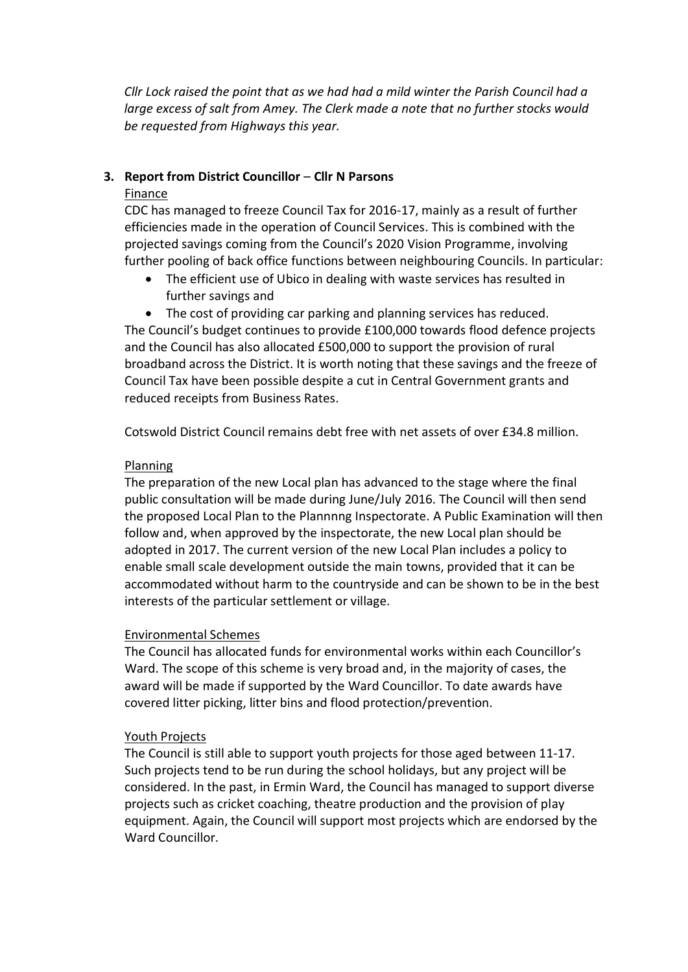*Cllr Lock raised the point that as we had had a mild winter the Parish Council had a large excess of salt from Amey. The Clerk made a note that no further stocks would be requested from Highways this year.*

### **3. Report from District Councillor** – **Cllr N Parsons**

#### Finance

CDC has managed to freeze Council Tax for 2016-17, mainly as a result of further efficiencies made in the operation of Council Services. This is combined with the projected savings coming from the Council's 2020 Vision Programme, involving further pooling of back office functions between neighbouring Councils. In particular:

- The efficient use of Ubico in dealing with waste services has resulted in further savings and
- The cost of providing car parking and planning services has reduced.

The Council's budget continues to provide £100,000 towards flood defence projects and the Council has also allocated £500,000 to support the provision of rural broadband across the District. It is worth noting that these savings and the freeze of Council Tax have been possible despite a cut in Central Government grants and reduced receipts from Business Rates.

Cotswold District Council remains debt free with net assets of over £34.8 million.

#### Planning

The preparation of the new Local plan has advanced to the stage where the final public consultation will be made during June/July 2016. The Council will then send the proposed Local Plan to the Plannnng Inspectorate. A Public Examination will then follow and, when approved by the inspectorate, the new Local plan should be adopted in 2017. The current version of the new Local Plan includes a policy to enable small scale development outside the main towns, provided that it can be accommodated without harm to the countryside and can be shown to be in the best interests of the particular settlement or village.

#### Environmental Schemes

The Council has allocated funds for environmental works within each Councillor's Ward. The scope of this scheme is very broad and, in the majority of cases, the award will be made if supported by the Ward Councillor. To date awards have covered litter picking, litter bins and flood protection/prevention.

#### Youth Projects

The Council is still able to support youth projects for those aged between 11-17. Such projects tend to be run during the school holidays, but any project will be considered. In the past, in Ermin Ward, the Council has managed to support diverse projects such as cricket coaching, theatre production and the provision of play equipment. Again, the Council will support most projects which are endorsed by the Ward Councillor.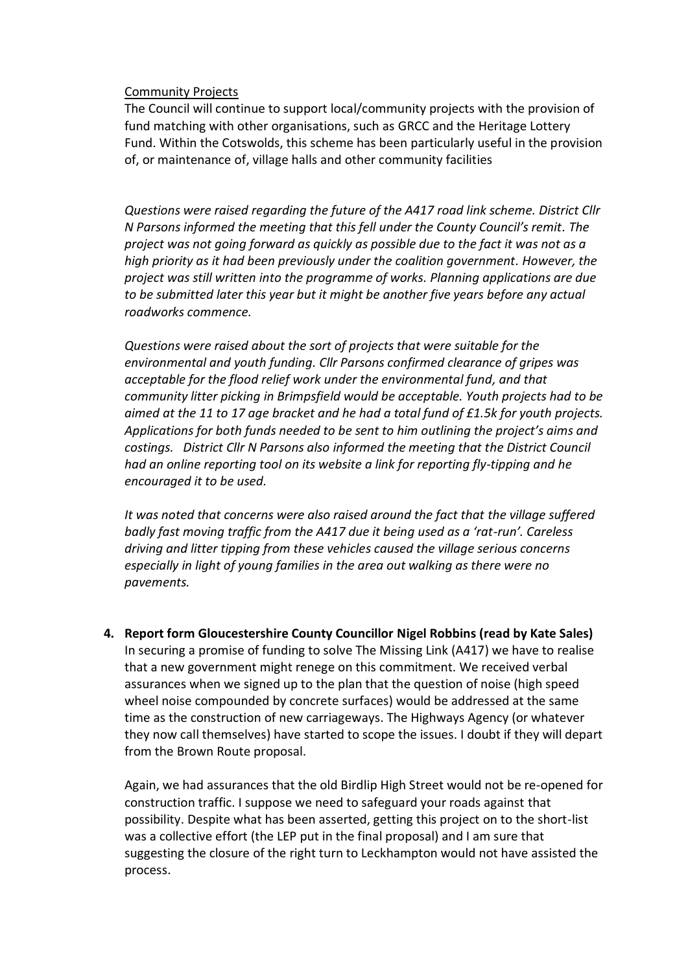#### Community Projects

The Council will continue to support local/community projects with the provision of fund matching with other organisations, such as GRCC and the Heritage Lottery Fund. Within the Cotswolds, this scheme has been particularly useful in the provision of, or maintenance of, village halls and other community facilities

*Questions were raised regarding the future of the A417 road link scheme. District Cllr N Parsons informed the meeting that this fell under the County Council's remit. The project was not going forward as quickly as possible due to the fact it was not as a high priority as it had been previously under the coalition government. However, the project was still written into the programme of works. Planning applications are due to be submitted later this year but it might be another five years before any actual roadworks commence.* 

*Questions were raised about the sort of projects that were suitable for the environmental and youth funding. Cllr Parsons confirmed clearance of gripes was acceptable for the flood relief work under the environmental fund, and that community litter picking in Brimpsfield would be acceptable. Youth projects had to be aimed at the 11 to 17 age bracket and he had a total fund of £1.5k for youth projects. Applications for both funds needed to be sent to him outlining the project's aims and costings. District Cllr N Parsons also informed the meeting that the District Council had an online reporting tool on its website a link for reporting fly-tipping and he encouraged it to be used.*

*It was noted that concerns were also raised around the fact that the village suffered badly fast moving traffic from the A417 due it being used as a 'rat-run'. Careless driving and litter tipping from these vehicles caused the village serious concerns especially in light of young families in the area out walking as there were no pavements.* 

**4. Report form Gloucestershire County Councillor Nigel Robbins (read by Kate Sales)** In securing a promise of funding to solve The Missing Link (A417) we have to realise that a new government might renege on this commitment. We received verbal assurances when we signed up to the plan that the question of noise (high speed wheel noise compounded by concrete surfaces) would be addressed at the same time as the construction of new carriageways. The Highways Agency (or whatever they now call themselves) have started to scope the issues. I doubt if they will depart from the Brown Route proposal.

Again, we had assurances that the old Birdlip High Street would not be re-opened for construction traffic. I suppose we need to safeguard your roads against that possibility. Despite what has been asserted, getting this project on to the short-list was a collective effort (the LEP put in the final proposal) and I am sure that suggesting the closure of the right turn to Leckhampton would not have assisted the process.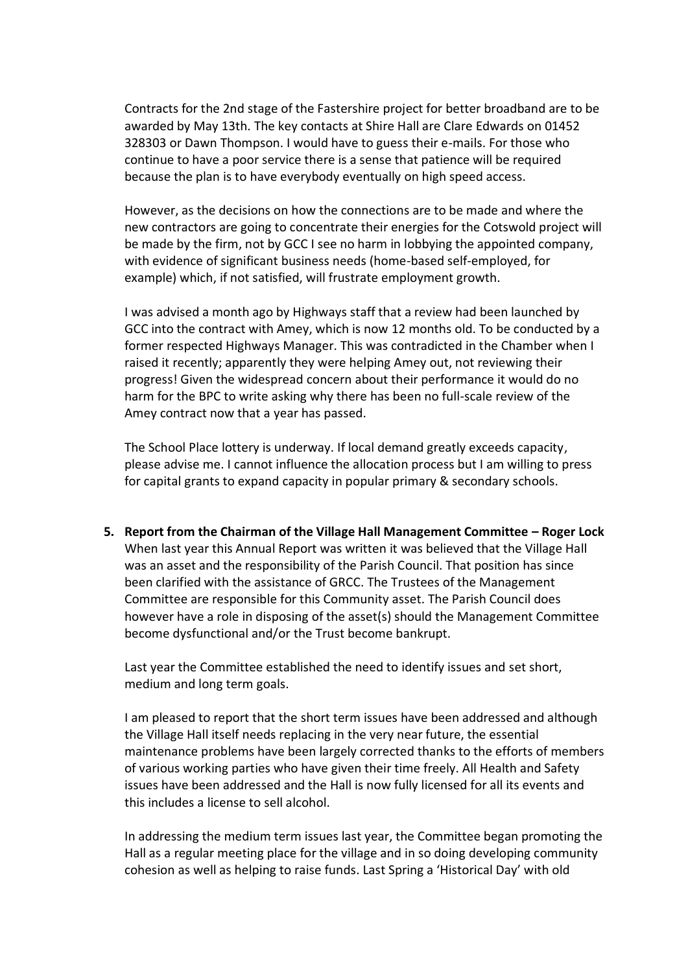Contracts for the 2nd stage of the Fastershire project for better broadband are to be awarded by May 13th. The key contacts at Shire Hall are Clare Edwards on 01452 328303 or Dawn Thompson. I would have to guess their e-mails. For those who continue to have a poor service there is a sense that patience will be required because the plan is to have everybody eventually on high speed access.

However, as the decisions on how the connections are to be made and where the new contractors are going to concentrate their energies for the Cotswold project will be made by the firm, not by GCC I see no harm in lobbying the appointed company, with evidence of significant business needs (home-based self-employed, for example) which, if not satisfied, will frustrate employment growth.

I was advised a month ago by Highways staff that a review had been launched by GCC into the contract with Amey, which is now 12 months old. To be conducted by a former respected Highways Manager. This was contradicted in the Chamber when I raised it recently; apparently they were helping Amey out, not reviewing their progress! Given the widespread concern about their performance it would do no harm for the BPC to write asking why there has been no full-scale review of the Amey contract now that a year has passed.

The School Place lottery is underway. If local demand greatly exceeds capacity, please advise me. I cannot influence the allocation process but I am willing to press for capital grants to expand capacity in popular primary & secondary schools.

**5. Report from the Chairman of the Village Hall Management Committee – Roger Lock** When last year this Annual Report was written it was believed that the Village Hall was an asset and the responsibility of the Parish Council. That position has since been clarified with the assistance of GRCC. The Trustees of the Management Committee are responsible for this Community asset. The Parish Council does however have a role in disposing of the asset(s) should the Management Committee become dysfunctional and/or the Trust become bankrupt.

Last year the Committee established the need to identify issues and set short, medium and long term goals.

I am pleased to report that the short term issues have been addressed and although the Village Hall itself needs replacing in the very near future, the essential maintenance problems have been largely corrected thanks to the efforts of members of various working parties who have given their time freely. All Health and Safety issues have been addressed and the Hall is now fully licensed for all its events and this includes a license to sell alcohol.

In addressing the medium term issues last year, the Committee began promoting the Hall as a regular meeting place for the village and in so doing developing community cohesion as well as helping to raise funds. Last Spring a 'Historical Day' with old